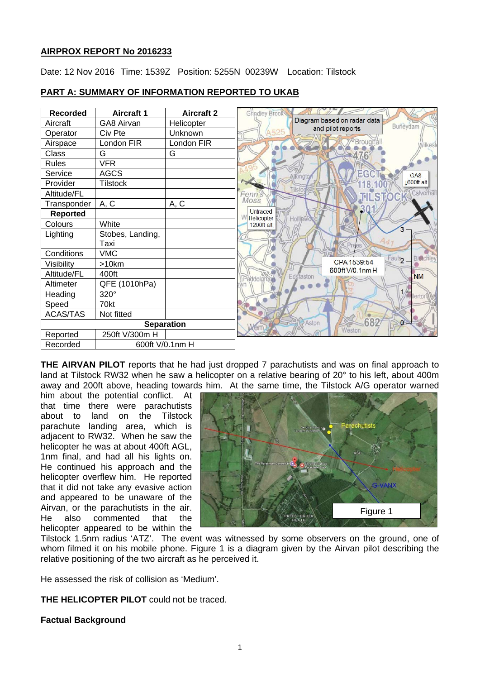## **AIRPROX REPORT No 2016233**

Date: 12 Nov 2016 Time: 1539Z Position: 5255N 00239W Location: Tilstock

| <b>Recorded</b>   | <b>Aircraft 1</b> | <b>Aircraft 2</b> |
|-------------------|-------------------|-------------------|
| Aircraft          | GA8 Airvan        | Helicopter        |
| Operator          | Civ Pte           | Unknown           |
| Airspace          | London FIR        | London FIR        |
| Class             | G                 | G                 |
| Rules             | <b>VFR</b>        |                   |
| Service           | <b>AGCS</b>       |                   |
| Provider          | <b>Tilstock</b>   |                   |
| Altitude/FL       |                   |                   |
| Transponder       | A, C              | A, C              |
| <b>Reported</b>   |                   |                   |
| Colours           | White             |                   |
| Lighting          | Stobes, Landing,  |                   |
|                   | Taxi              |                   |
| Conditions        | <b>VMC</b>        |                   |
| Visibility        | >10km             |                   |
| Altitude/FL       | 400ft             |                   |
| Altimeter         | QFE (1010hPa)     |                   |
| Heading           | 320°              |                   |
| Speed             | 70kt              |                   |
| <b>ACAS/TAS</b>   | Not fitted        |                   |
| <b>Separation</b> |                   |                   |
| Reported          | 250ft V/300m H    |                   |
| Recorded          | 600ft V/0.1nm H   |                   |

# **PART A: SUMMARY OF INFORMATION REPORTED TO UKAB**

**THE AIRVAN PILOT** reports that he had just dropped 7 parachutists and was on final approach to land at Tilstock RW32 when he saw a helicopter on a relative bearing of 20° to his left, about 400m away and 200ft above, heading towards him. At the same time, the Tilstock A/G operator warned

him about the potential conflict. At that time there were parachutists about to land on the Tilstock parachute landing area, which is adjacent to RW32. When he saw the helicopter he was at about 400ft AGL, 1nm final, and had all his lights on. He continued his approach and the helicopter overflew him. He reported that it did not take any evasive action and appeared to be unaware of the Airvan, or the parachutists in the air. He also commented that the helicopter appeared to be within the



Tilstock 1.5nm radius 'ATZ'. The event was witnessed by some observers on the ground, one of whom filmed it on his mobile phone. Figure 1 is a diagram given by the Airvan pilot describing the relative positioning of the two aircraft as he perceived it.

He assessed the risk of collision as 'Medium'.

**THE HELICOPTER PILOT** could not be traced.

# **Factual Background**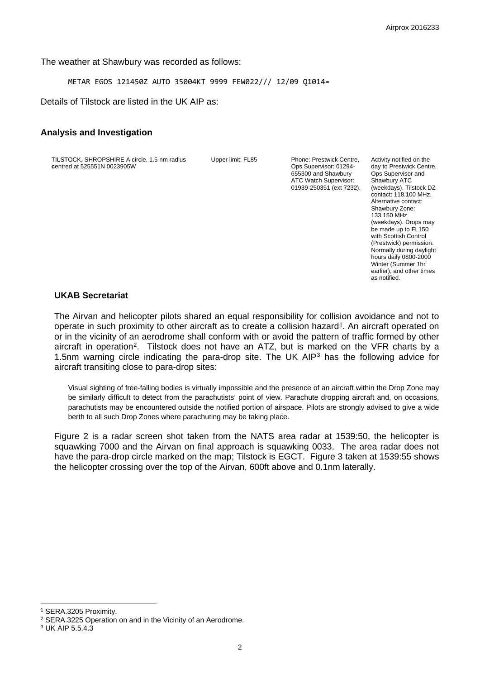The weather at Shawbury was recorded as follows:

METAR EGOS 121450Z AUTO 35004KT 9999 FEW022/// 12/09 Q1014=

Details of Tilstock are listed in the UK AIP as:

#### **Analysis and Investigation**

TILSTOCK, SHROPSHIRE A circle, 1.5 nm radius **c**entred at 525551N 0023905W

Upper limit: FL85 Phone: Prestwick Centre, Ops Supervisor: 01294- 655300 and Shawbury ATC Watch Supervisor: 01939-250351 (ext 7232). Activity notified on the day to Prestwick Centre, Ops Supervisor and Shawbury ATC (weekdays). Tilstock DZ contact: 118.100 MHz. Alternative contact: Shawbury Zone: 133.150 MHz (weekdays). Drops may be made up to FL150 with Scottish Control (Prestwick) permission. Normally during daylight hours daily 0800-2000 Winter (Summer 1hr earlier); and other times as notified.

## **UKAB Secretariat**

The Airvan and helicopter pilots shared an equal responsibility for collision avoidance and not to operate in such proximity to other aircraft as to create a collision hazard<sup>[1](#page-1-0)</sup>. An aircraft operated on or in the vicinity of an aerodrome shall conform with or avoid the pattern of traffic formed by other aircraft in operation<sup>2</sup>. Tilstock does not have an ATZ, but is marked on the VFR charts by a 1.5nm warning circle indicating the para-drop site. The UK AIP<sup>[3](#page-1-2)</sup> has the following advice for aircraft transiting close to para-drop sites:

Visual sighting of free-falling bodies is virtually impossible and the presence of an aircraft within the Drop Zone may be similarly difficult to detect from the parachutists' point of view. Parachute dropping aircraft and, on occasions, parachutists may be encountered outside the notified portion of airspace. Pilots are strongly advised to give a wide berth to all such Drop Zones where parachuting may be taking place.

Figure 2 is a radar screen shot taken from the NATS area radar at 1539:50, the helicopter is squawking 7000 and the Airvan on final approach is squawking 0033. The area radar does not have the para-drop circle marked on the map; Tilstock is EGCT. Figure 3 taken at 1539:55 shows the helicopter crossing over the top of the Airvan, 600ft above and 0.1nm laterally.

 $\overline{a}$ 

<span id="page-1-0"></span><sup>1</sup> SERA.3205 Proximity.

<span id="page-1-1"></span><sup>2</sup> SERA.3225 Operation on and in the Vicinity of an Aerodrome.

<span id="page-1-2"></span><sup>3</sup> UK AIP 5.5.4.3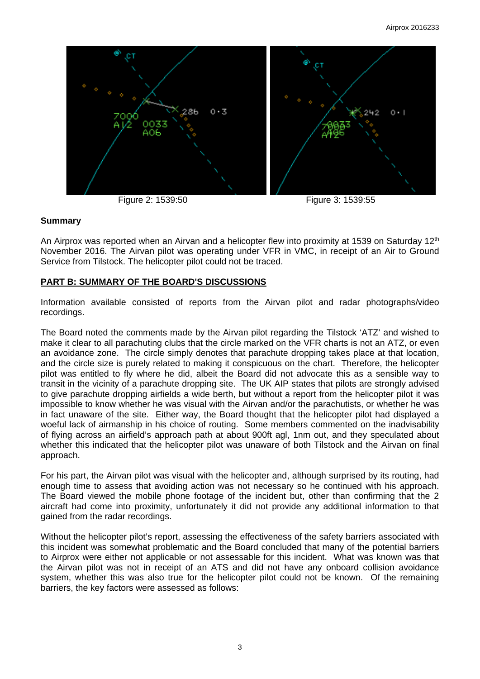

#### **Summary**

An Airprox was reported when an Airvan and a helicopter flew into proximity at 1539 on Saturday 12<sup>th</sup> November 2016. The Airvan pilot was operating under VFR in VMC, in receipt of an Air to Ground Service from Tilstock. The helicopter pilot could not be traced.

### **PART B: SUMMARY OF THE BOARD'S DISCUSSIONS**

Information available consisted of reports from the Airvan pilot and radar photographs/video recordings.

The Board noted the comments made by the Airvan pilot regarding the Tilstock 'ATZ' and wished to make it clear to all parachuting clubs that the circle marked on the VFR charts is not an ATZ, or even an avoidance zone. The circle simply denotes that parachute dropping takes place at that location, and the circle size is purely related to making it conspicuous on the chart. Therefore, the helicopter pilot was entitled to fly where he did, albeit the Board did not advocate this as a sensible way to transit in the vicinity of a parachute dropping site. The UK AIP states that pilots are strongly advised to give parachute dropping airfields a wide berth, but without a report from the helicopter pilot it was impossible to know whether he was visual with the Airvan and/or the parachutists, or whether he was in fact unaware of the site. Either way, the Board thought that the helicopter pilot had displayed a woeful lack of airmanship in his choice of routing. Some members commented on the inadvisability of flying across an airfield's approach path at about 900ft agl, 1nm out, and they speculated about whether this indicated that the helicopter pilot was unaware of both Tilstock and the Airvan on final approach.

For his part, the Airvan pilot was visual with the helicopter and, although surprised by its routing, had enough time to assess that avoiding action was not necessary so he continued with his approach. The Board viewed the mobile phone footage of the incident but, other than confirming that the 2 aircraft had come into proximity, unfortunately it did not provide any additional information to that gained from the radar recordings.

Without the helicopter pilot's report, assessing the effectiveness of the safety barriers associated with this incident was somewhat problematic and the Board concluded that many of the potential barriers to Airprox were either not applicable or not assessable for this incident. What was known was that the Airvan pilot was not in receipt of an ATS and did not have any onboard collision avoidance system, whether this was also true for the helicopter pilot could not be known. Of the remaining barriers, the key factors were assessed as follows: